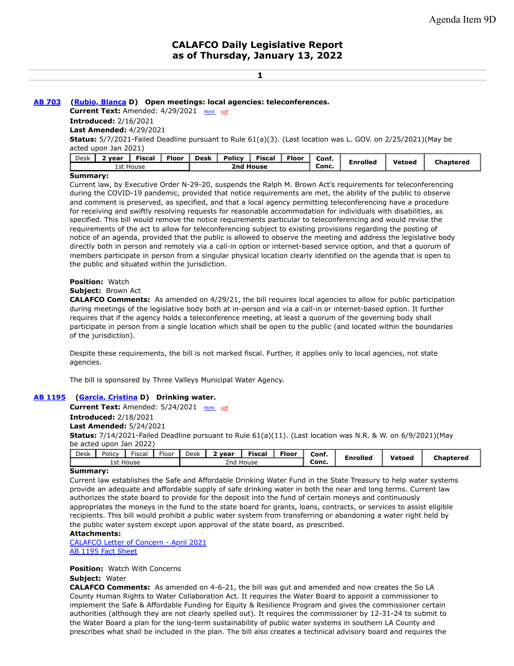### **1**

### **[AB 703](https://ctweb.capitoltrack.com/public/publishbillinfo.aspx?bi=%2fMAkZXC7KIxfJHd5dPWbFHk5bYVM4%2fQ90L6WwtBDcpYOPBk%2fc3kSFh08YB8ncCSU) [\(Rubio, Blanca](https://a48.asmdc.org/) D) Open meetings: local agencies: teleconferences.**

**Current Text:** Amended: 4/29/2021 [html](https://ctweb.capitoltrack.com/Bills/21Bills/asm/ab_0701-0750/ab_703_98_A_bill.htm) [pdf](https://ctweb.capitoltrack.com/Bills/21Bills/asm/ab_0701-0750/ab_703_98_A_bill.pdf) **Introduced:** 2/16/2021

**Last Amended:** 4/29/2021

**Status:** 5/7/2021-Failed Deadline pursuant to Rule 61(a)(3). (Last location was L. GOV. on 2/25/2021)(May be acted upon Jan 2021)

| Desk | <b>Policy</b><br><b>Fiscal</b><br>Floor<br><b>Floor</b><br><b>Desk</b><br>iscal·<br>vear |           |  |           |  |  | Conf. | <b>Enrolled</b> | Vetoed | Chaptered |  |
|------|------------------------------------------------------------------------------------------|-----------|--|-----------|--|--|-------|-----------------|--------|-----------|--|
|      |                                                                                          | 1st House |  | 2nd House |  |  | Conc. |                 |        |           |  |
|      |                                                                                          |           |  |           |  |  |       |                 |        |           |  |

### **Summary:**

Current law, by Executive Order N-29-20, suspends the Ralph M. Brown Act's requirements for teleconferencing during the COVID-19 pandemic, provided that notice requirements are met, the ability of the public to observe and comment is preserved, as specified, and that a local agency permitting teleconferencing have a procedure for receiving and swiftly resolving requests for reasonable accommodation for individuals with disabilities, as specified. This bill would remove the notice requirements particular to teleconferencing and would revise the requirements of the act to allow for teleconferencing subject to existing provisions regarding the posting of notice of an agenda, provided that the public is allowed to observe the meeting and address the legislative body directly both in person and remotely via a call-in option or internet-based service option, and that a quorum of members participate in person from a singular physical location clearly identified on the agenda that is open to the public and situated within the jurisdiction.

# **Position:** Watch

### **Subject:** Brown Act

**CALAFCO Comments:** As amended on 4/29/21, the bill requires local agencies to allow for public participation during meetings of the legislative body both at in-person and via a call-in or internet-based option. It further requires that if the agency holds a teleconference meeting, at least a quorum of the governing body shall participate in person from a single location which shall be open to the public (and located within the boundaries of the jurisdiction).

Despite these requirements, the bill is not marked fiscal. Further, it applies only to local agencies, not state agencies.

The bill is sponsored by Three Valleys Municipal Water Agency.

# **[AB 1195](https://ctweb.capitoltrack.com/public/publishbillinfo.aspx?bi=cdgrfyiAv1NlxzZ1Z4aqGrjiLfPQVEWhcSXU8aqH0k4YQSnpkynTMl09%2buKUBBce) ([Garcia, Cristina](https://a58.asmdc.org/) D) Drinking water.**

**Current Text:** Amended: 5/24/2021 [html](https://ctweb.capitoltrack.com/Bills/21Bills/asm/ab_1151-1200/ab_1195_97_A_bill.htm) [pdf](https://ctweb.capitoltrack.com/Bills/21Bills/asm/ab_1151-1200/ab_1195_97_A_bill.pdf) **Introduced:** 2/18/2021 **Last Amended:** 5/24/2021 **Status:** 7/14/2021-Failed Deadline pursuant to Rule 61(a)(11). (Last location was N.R. & W. on 6/9/2021)(May be acted upon Jan 2022)

| Desk                         | Policy | <b>Fiscal</b> | $-1$<br>.-loor | Desk | vear | --<br>Fiscal | <b>Floor</b> | Conf. | Enrolled<br>$\overline{\phantom{a}}$ | Vetoed | Chaptered |
|------------------------------|--------|---------------|----------------|------|------|--------------|--------------|-------|--------------------------------------|--------|-----------|
| 1st<br>2nd<br>House<br>House |        |               |                |      |      |              | Conc.        |       |                                      |        |           |
| $\sim$                       |        |               |                |      |      |              |              |       |                                      |        |           |

#### **Summary:**

Current law establishes the Safe and Affordable Drinking Water Fund in the State Treasury to help water systems provide an adequate and affordable supply of safe drinking water in both the near and long terms. Current law authorizes the state board to provide for the deposit into the fund of certain moneys and continuously appropriates the moneys in the fund to the state board for grants, loans, contracts, or services to assist eligible recipients. This bill would prohibit a public water system from transferring or abandoning a water right held by the public water system except upon approval of the state board, as prescribed.

# **Attachments:**

[CALAFCO Letter of Concern - April 2021](https://ctweb.capitoltrack.com/public/publishviewdoc.ashx?di=VRhn%2bvh43VjceTUWQF1zR762XpOrWQE%2fNQKyFFjHHXg%3d) [AB 1195 Fact Sheet](https://ctweb.capitoltrack.com/public/publishviewdoc.ashx?di=v0USgZTz5Fn092PrDNnmC9Nol2T%2bM5oz06PajjD4%2fbc%3d)

# **Position:** Watch With Concerns

# **Subject:** Water

**CALAFCO Comments:** As amended on 4-6-21, the bill was gut and amended and now creates the So LA County Human Rights to Water Collaboration Act. It requires the Water Board to appoint a commissioner to implement the Safe & Affordable Funding for Equity & Resilience Program and gives the commissioner certain authorities (although they are not clearly spelled out). It requires the commissioner by 12-31-24 to submit to the Water Board a plan for the long-term sustainability of public water systems in southern LA County and prescribes what shall be included in the plan. The bill also creates a technical advisory board and requires the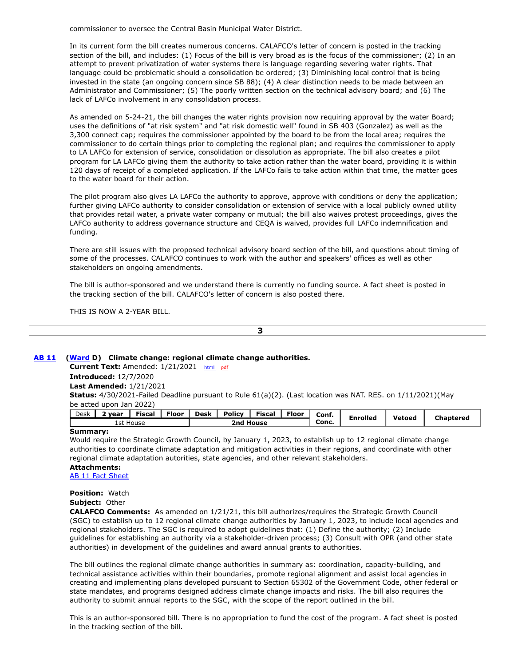commissioner to oversee the Central Basin Municipal Water District.

In its current form the bill creates numerous concerns. CALAFCO's letter of concern is posted in the tracking section of the bill, and includes: (1) Focus of the bill is very broad as is the focus of the commissioner; (2) In an attempt to prevent privatization of water systems there is language regarding severing water rights. That language could be problematic should a consolidation be ordered; (3) Diminishing local control that is being invested in the state (an ongoing concern since SB 88); (4) A clear distinction needs to be made between an Administrator and Commissioner; (5) The poorly written section on the technical advisory board; and (6) The lack of LAFCo involvement in any consolidation process.

As amended on 5-24-21, the bill changes the water rights provision now requiring approval by the water Board; uses the definitions of "at risk system" and "at risk domestic well" found in SB 403 (Gonzalez) as well as the 3,300 connect cap; requires the commissioner appointed by the board to be from the local area; requires the commissioner to do certain things prior to completing the regional plan; and requires the commissioner to apply to LA LAFCo for extension of service, consolidation or dissolution as appropriate. The bill also creates a pilot program for LA LAFCo giving them the authority to take action rather than the water board, providing it is within 120 days of receipt of a completed application. If the LAFCo fails to take action within that time, the matter goes to the water board for their action.

The pilot program also gives LA LAFCo the authority to approve, approve with conditions or deny the application; further giving LAFCo authority to consider consolidation or extension of service with a local publicly owned utility that provides retail water, a private water company or mutual; the bill also waives protest proceedings, gives the LAFCo authority to address governance structure and CEQA is waived, provides full LAFCo indemnification and funding.

There are still issues with the proposed technical advisory board section of the bill, and questions about timing of some of the processes. CALAFCO continues to work with the author and speakers' offices as well as other stakeholders on ongoing amendments.

The bill is author-sponsored and we understand there is currently no funding source. A fact sheet is posted in the tracking section of the bill. CALAFCO's letter of concern is also posted there.

THIS IS NOW A 2-YEAR BILL.

**3**

# **[AB 11](https://ctweb.capitoltrack.com/public/publishbillinfo.aspx?bi=HDwpIPwQOfFYhdiUlIDlCRm3DBaaIAh3axjIEG9A0E%2b1GD5CB4W%2bHWkvhUZRondb) [\(Ward](https://a78.asmdc.org/) D) Climate change: regional climate change authorities.**

**Current Text:** Amended: 1/21/2021 [html](https://ctweb.capitoltrack.com/Bills/21Bills/asm/ab_0001-0050/ab_11_98_A_bill.htm) [pdf](https://ctweb.capitoltrack.com/Bills/21Bills/asm/ab_0001-0050/ab_11_98_A_bill.pdf)

#### **Introduced:** 12/7/2020 **Last Amended:** 1/21/2021

**Status:** 4/30/2021-Failed Deadline pursuant to Rule 61(a)(2). (Last location was NAT. RES. on 1/11/2021)(May be acted upon Jan 2022)

| Desk | Policy<br>Floor .<br><b>Desk</b><br>--<br>___<br>Floor<br>Fiscal<br>Fiscal<br>. vear |  |  |           |  | Conf. | <b>Enrolled</b> | Vetoed |  |  |           |
|------|--------------------------------------------------------------------------------------|--|--|-----------|--|-------|-----------------|--------|--|--|-----------|
|      | 1st House                                                                            |  |  | 2nd House |  |       |                 | Conc.  |  |  | Chaptered |

### **Summary:**

Would require the Strategic Growth Council, by January 1, 2023, to establish up to 12 regional climate change authorities to coordinate climate adaptation and mitigation activities in their regions, and coordinate with other regional climate adaptation autorities, state agencies, and other relevant stakeholders.

#### **Attachments:**

[AB 11 Fact Sheet](https://ctweb.capitoltrack.com/public/publishviewdoc.ashx?di=v0USgZTz5Fn092PrDNnmC%2bhpbuM5UzR3UMls7cIr%2bZc%3d)

**Position:** Watch

**Subject:** Other

**CALAFCO Comments:** As amended on 1/21/21, this bill authorizes/requires the Strategic Growth Council (SGC) to establish up to 12 regional climate change authorities by January 1, 2023, to include local agencies and regional stakeholders. The SGC is required to adopt guidelines that: (1) Define the authority; (2) Include guidelines for establishing an authority via a stakeholder-driven process; (3) Consult with OPR (and other state authorities) in development of the guidelines and award annual grants to authorities.

The bill outlines the regional climate change authorities in summary as: coordination, capacity-building, and technical assistance activities within their boundaries, promote regional alignment and assist local agencies in creating and implementing plans developed pursuant to Section 65302 of the Government Code, other federal or state mandates, and programs designed address climate change impacts and risks. The bill also requires the authority to submit annual reports to the SGC, with the scope of the report outlined in the bill.

This is an author-sponsored bill. There is no appropriation to fund the cost of the program. A fact sheet is posted in the tracking section of the bill.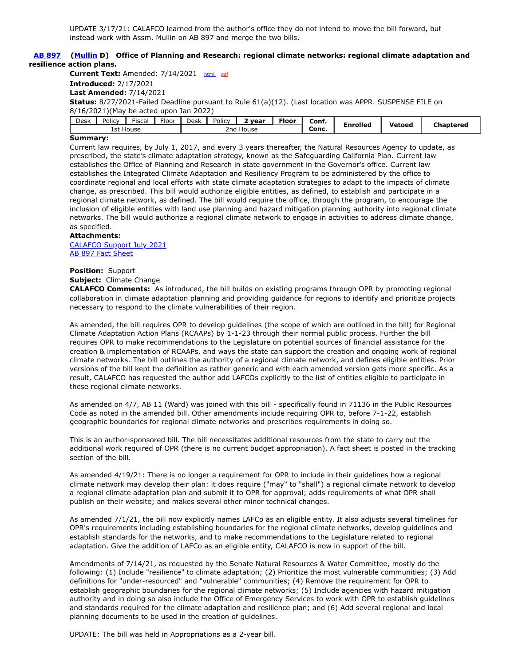# **[AB 897](https://ctweb.capitoltrack.com/public/publishbillinfo.aspx?bi=OT4o8Vcj7fgzYFZCPMv7BzZf4hLlukFoVGcTjMGnPnhBp3TIhQMp3aGWCn4sl%2bJn) [\(Mullin](https://a22.asmdc.org/) D) Office of Planning and Research: regional climate networks: regional climate adaptation and resilience action plans.**

**Current Text:** Amended: 7/14/2021 [html](https://ctweb.capitoltrack.com/Bills/21Bills/asm/ab_0851-0900/ab_897_95_A_bill.htm) [pdf](https://ctweb.capitoltrack.com/Bills/21Bills/asm/ab_0851-0900/ab_897_95_A_bill.pdf) **Introduced:** 2/17/2021 **Last Amended:** 7/14/2021 **Status:** 8/27/2021-Failed Deadline pursuant to Rule 61(a)(12). (Last location was APPR. SUSPENSE FILE on 8/16/2021)(May be acted upon Jan 2022)

| $\overline{\phantom{a}}$ |                             | Desk | Policy | Fiscal | rloor | Desk | Policy | vear  | $-$<br>Floor | Conf. | Enrolled | Vetoed | Chaptered |
|--------------------------|-----------------------------|------|--------|--------|-------|------|--------|-------|--------------|-------|----------|--------|-----------|
|                          | 1st House<br>znd '<br>House |      |        |        |       |      |        | Conc. |              |       |          |        |           |

# **Summary:**

Current law requires, by July 1, 2017, and every 3 years thereafter, the Natural Resources Agency to update, as prescribed, the state's climate adaptation strategy, known as the Safeguarding California Plan. Current law establishes the Office of Planning and Research in state government in the Governor's office. Current law establishes the Integrated Climate Adaptation and Resiliency Program to be administered by the office to coordinate regional and local efforts with state climate adaptation strategies to adapt to the impacts of climate change, as prescribed. This bill would authorize eligible entities, as defined, to establish and participate in a regional climate network, as defined. The bill would require the office, through the program, to encourage the inclusion of eligible entities with land use planning and hazard mitigation planning authority into regional climate networks. The bill would authorize a regional climate network to engage in activities to address climate change, as specified.

# **Attachments:**

[CALAFCO Support July 2021](https://ctweb.capitoltrack.com/public/publishviewdoc.ashx?di=VRhn%2bvh43VjceTUWQF1zRxTKxZG055BOz13LnyOk3h8%3d) [AB 897 Fact Sheet](https://ctweb.capitoltrack.com/public/publishviewdoc.ashx?di=v0USgZTz5Fn092PrDNnmCws5EBaFKEpBWtvGX9y2OYs%3d)

# **Position:** Support

# **Subject:** Climate Change

**CALAFCO Comments:** As introduced, the bill builds on existing programs through OPR by promoting regional collaboration in climate adaptation planning and providing guidance for regions to identify and prioritize projects necessary to respond to the climate vulnerabilities of their region.

As amended, the bill requires OPR to develop guidelines (the scope of which are outlined in the bill) for Regional Climate Adaptation Action Plans (RCAAPs) by 1-1-23 through their normal public process. Further the bill requires OPR to make recommendations to the Legislature on potential sources of financial assistance for the creation & implementation of RCAAPs, and ways the state can support the creation and ongoing work of regional climate networks. The bill outlines the authority of a regional climate network, and defines eligible entities. Prior versions of the bill kept the definition as rather generic and with each amended version gets more specific. As a result, CALAFCO has requested the author add LAFCOs explicitly to the list of entities eligible to participate in these regional climate networks.

As amended on 4/7, AB 11 (Ward) was joined with this bill - specifically found in 71136 in the Public Resources Code as noted in the amended bill. Other amendments include requiring OPR to, before 7-1-22, establish geographic boundaries for regional climate networks and prescribes requirements in doing so.

This is an author-sponsored bill. The bill necessitates additional resources from the state to carry out the additional work required of OPR (there is no current budget appropriation). A fact sheet is posted in the tracking section of the bill.

As amended 4/19/21: There is no longer a requirement for OPR to include in their guidelines how a regional climate network may develop their plan: it does require ("may" to "shall") a regional climate network to develop a regional climate adaptation plan and submit it to OPR for approval; adds requirements of what OPR shall publish on their website; and makes several other minor technical changes.

As amended 7/1/21, the bill now explicitly names LAFCo as an eligible entity. It also adjusts several timelines for OPR's requirements including establishing boundaries for the regional climate networks, develop guidelines and establish standards for the networks, and to make recommendations to the Legislature related to regional adaptation. Give the addition of LAFCo as an eligible entity, CALAFCO is now in support of the bill.

Amendments of 7/14/21, as requested by the Senate Natural Resources & Water Committee, mostly do the following: (1) Include "resilience" to climate adaptation; (2) Prioritize the most vulnerable communities; (3) Add definitions for "under-resourced" and "vulnerable" communities; (4) Remove the requirement for OPR to establish geographic boundaries for the regional climate networks; (5) Include agencies with hazard mitigation authority and in doing so also include the Office of Emergency Services to work with OPR to establish guidelines and standards required for the climate adaptation and resilience plan; and (6) Add several regional and local planning documents to be used in the creation of guidelines.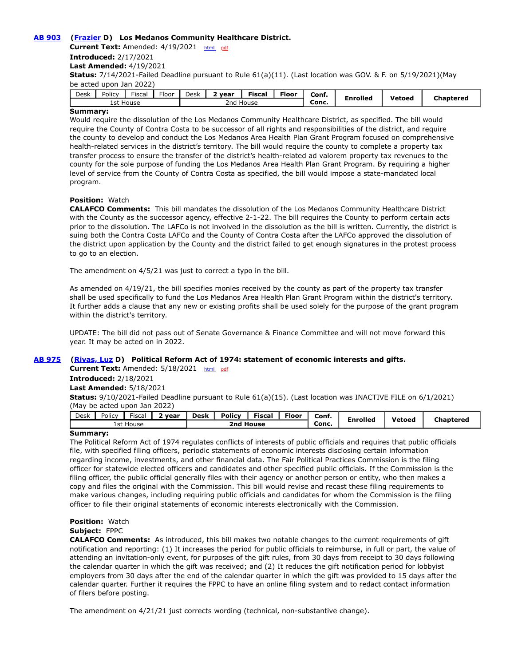# **[AB 903](https://ctweb.capitoltrack.com/public/publishbillinfo.aspx?bi=ajuygN7qRwO2gyk1SWEg85859T34RO0P55bayW%2bj3ma6oBB%2bBEWGjMEuMAZTTYN4) [\(Frazier](https://a11.asmdc.org/) D) Los Medanos Community Healthcare District.**

**Current Text:** Amended: 4/19/2021 [html](https://ctweb.capitoltrack.com/Bills/21Bills/asm/ab_0901-0950/ab_903_97_A_bill.htm) [pdf](https://ctweb.capitoltrack.com/Bills/21Bills/asm/ab_0901-0950/ab_903_97_A_bill.pdf) **Introduced:** 2/17/2021 **Last Amended:** 4/19/2021 **Status:** 7/14/2021-Failed Deadline pursuant to Rule 61(a)(11). (Last location was GOV. & F. on 5/19/2021)(May be acted upon Jan 2022)

| Desk                           | Policy | <b>Fiscal</b> | $-1$<br>Floor | Desk | vear | ---<br>Fiscal | $F$ loor | Conf. | <b>Enrolled</b> | Vetoed | <b>Chaptered</b> |
|--------------------------------|--------|---------------|---------------|------|------|---------------|----------|-------|-----------------|--------|------------------|
| 1st<br>House<br>House<br>zna : |        |               |               |      |      |               |          | Conc. |                 |        |                  |

# **Summary:**

Would require the dissolution of the Los Medanos Community Healthcare District, as specified. The bill would require the County of Contra Costa to be successor of all rights and responsibilities of the district, and require the county to develop and conduct the Los Medanos Area Health Plan Grant Program focused on comprehensive health-related services in the district's territory. The bill would require the county to complete a property tax transfer process to ensure the transfer of the district's health-related ad valorem property tax revenues to the county for the sole purpose of funding the Los Medanos Area Health Plan Grant Program. By requiring a higher level of service from the County of Contra Costa as specified, the bill would impose a state-mandated local program.

# **Position:** Watch

**CALAFCO Comments:** This bill mandates the dissolution of the Los Medanos Community Healthcare District with the County as the successor agency, effective 2-1-22. The bill requires the County to perform certain acts prior to the dissolution. The LAFCo is not involved in the dissolution as the bill is written. Currently, the district is suing both the Contra Costa LAFCo and the County of Contra Costa after the LAFCo approved the dissolution of the district upon application by the County and the district failed to get enough signatures in the protest process to go to an election.

The amendment on 4/5/21 was just to correct a typo in the bill.

As amended on 4/19/21, the bill specifies monies received by the county as part of the property tax transfer shall be used specifically to fund the Los Medanos Area Health Plan Grant Program within the district's territory. It further adds a clause that any new or existing profits shall be used solely for the purpose of the grant program within the district's territory.

UPDATE: The bill did not pass out of Senate Governance & Finance Committee and will not move forward this year. It may be acted on in 2022.

# **[AB 975](https://ctweb.capitoltrack.com/public/publishbillinfo.aspx?bi=wtppJKVa29786ZcR43wqxHzSqdID7QYe%2fq955MqytJosRbnTbgbnQLwjJxPRVxr3) [\(Rivas, Luz](https://a39.asmdc.org/) D) Political Reform Act of 1974: statement of economic interests and gifts.**

**Current Text:** Amended: 5/18/2021 [html](https://ctweb.capitoltrack.com/Bills/21Bills/asm/ab_0951-1000/ab_975_97_A_bill.htm) [pdf](https://ctweb.capitoltrack.com/Bills/21Bills/asm/ab_0951-1000/ab_975_97_A_bill.pdf)

#### **Introduced:** 2/18/2021

#### **Last Amended:** 5/18/2021

**Status:** 9/10/2021-Failed Deadline pursuant to Rule 61(a)(15). (Last location was INACTIVE FILE on 6/1/2021) (May be acted upon Jan 2022)

| Desk | Policy    | $-$<br>Fiscal | vear | Desk      | <b>Policy</b> | Fiscal | Floor | Conf. | <b>Enrolled</b> | Vetoed | <b>Chaptered</b> |
|------|-----------|---------------|------|-----------|---------------|--------|-------|-------|-----------------|--------|------------------|
|      | 1st House |               |      | 2nd House |               |        |       | Conc. |                 |        |                  |

#### **Summary:**

The Political Reform Act of 1974 regulates conflicts of interests of public officials and requires that public officials file, with specified filing officers, periodic statements of economic interests disclosing certain information regarding income, investments, and other financial data. The Fair Political Practices Commission is the filing officer for statewide elected officers and candidates and other specified public officials. If the Commission is the filing officer, the public official generally files with their agency or another person or entity, who then makes a copy and files the original with the Commission. This bill would revise and recast these filing requirements to make various changes, including requiring public officials and candidates for whom the Commission is the filing officer to file their original statements of economic interests electronically with the Commission.

# **Position:** Watch

# **Subject:** FPPC

**CALAFCO Comments:** As introduced, this bill makes two notable changes to the current requirements of gift notification and reporting: (1) It increases the period for public officials to reimburse, in full or part, the value of attending an invitation-only event, for purposes of the gift rules, from 30 days from receipt to 30 days following the calendar quarter in which the gift was received; and (2) It reduces the gift notification period for lobbyist employers from 30 days after the end of the calendar quarter in which the gift was provided to 15 days after the calendar quarter. Further it requires the FPPC to have an online filing system and to redact contact information of filers before posting.

The amendment on 4/21/21 just corrects wording (technical, non-substantive change).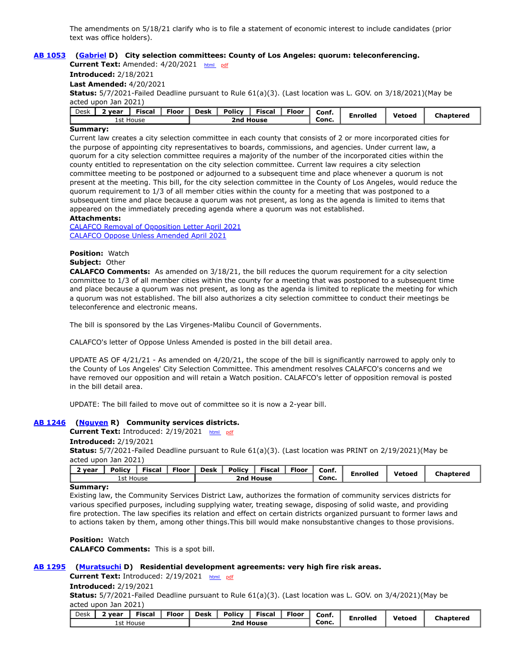The amendments on 5/18/21 clarify who is to file a statement of economic interest to include candidates (prior text was office holders).

# **[AB 1053](https://ctweb.capitoltrack.com/public/publishbillinfo.aspx?bi=zhuT5umvgZOxPdRzjSS5Bu6Yvku0pfnd%2fcG%2fNE2YeKZx9cBWwmlJmzm60OvTeR3e) ([Gabriel](https://a45.asmdc.org/) D) City selection committees: County of Los Angeles: quorum: teleconferencing.**

**Current Text:** Amended: 4/20/2021 [html](https://ctweb.capitoltrack.com/Bills/21Bills/asm/ab_1051-1100/ab_1053_97_A_bill.htm) [pdf](https://ctweb.capitoltrack.com/Bills/21Bills/asm/ab_1051-1100/ab_1053_97_A_bill.pdf) **Introduced:** 2/18/2021 **Last Amended:** 4/20/2021

**Status:** 5/7/2021-Failed Deadline pursuant to Rule 61(a)(3). (Last location was L. GOV. on 3/18/2021)(May be acted upon Jan 2021)

| Desk | vear      | <b>Fiscal</b> | Floor: | Desk | <b>Policy</b> | $-$<br>Fisca | $F$ loor | Conf. | <b>Enrolled</b> | Vetoed |           |
|------|-----------|---------------|--------|------|---------------|--------------|----------|-------|-----------------|--------|-----------|
|      | 1st House |               |        |      | House<br>2nd  |              |          |       |                 |        | Chaptered |

# **Summary:**

Current law creates a city selection committee in each county that consists of 2 or more incorporated cities for the purpose of appointing city representatives to boards, commissions, and agencies. Under current law, a quorum for a city selection committee requires a majority of the number of the incorporated cities within the county entitled to representation on the city selection committee. Current law requires a city selection committee meeting to be postponed or adjourned to a subsequent time and place whenever a quorum is not present at the meeting. This bill, for the city selection committee in the County of Los Angeles, would reduce the quorum requirement to 1/3 of all member cities within the county for a meeting that was postponed to a subsequent time and place because a quorum was not present, as long as the agenda is limited to items that appeared on the immediately preceding agenda where a quorum was not established.

#### **Attachments:**

[CALAFCO Removal of Opposition Letter April 2021](https://ctweb.capitoltrack.com/public/publishviewdoc.ashx?di=weMYtXYpWNGgBtj%2bBNn%2fpCUjO%2bRanp3lJf5VrQXAQTo%3d) [CALAFCO Oppose Unless Amended April 2021](https://ctweb.capitoltrack.com/public/publishviewdoc.ashx?di=zmq1%2fMGeCIfbSWdaTw2omvi6KoDGyxf%2butT%2foLWf9%2fc%3d)

**Position:** Watch

**Subject:** Other

**CALAFCO Comments:** As amended on 3/18/21, the bill reduces the quorum requirement for a city selection committee to 1/3 of all member cities within the county for a meeting that was postponed to a subsequent time and place because a quorum was not present, as long as the agenda is limited to replicate the meeting for which a quorum was not established. The bill also authorizes a city selection committee to conduct their meetings be teleconference and electronic means.

The bill is sponsored by the Las Virgenes-Malibu Council of Governments.

CALAFCO's letter of Oppose Unless Amended is posted in the bill detail area.

UPDATE AS OF 4/21/21 - As amended on 4/20/21, the scope of the bill is significantly narrowed to apply only to the County of Los Angeles' City Selection Committee. This amendment resolves CALAFCO's concerns and we have removed our opposition and will retain a Watch position. CALAFCO's letter of opposition removal is posted in the bill detail area.

UPDATE: The bill failed to move out of committee so it is now a 2-year bill.

### **[AB 1246](https://ctweb.capitoltrack.com/public/publishbillinfo.aspx?bi=O8g5goGJHE9yw6PnQccq4tIkYCjJg0TwN%2bOJS0N9He9QDcWkEkmlNXSYbNDmPCZf) ([Nguyen](https://ad72.asmrc.org/) R) Community services districts.**

**Current Text:** Introduced: 2/19/2021 [html](https://ctweb.capitoltrack.com/Bills/21Bills/asm/ab_1201-1250/ab_1246_99_I_bill.htm) [pdf](https://ctweb.capitoltrack.com/Bills/21Bills/asm/ab_1201-1250/ab_1246_99_I_bill.pdf)

#### **Introduced:** 2/19/2021

**Status:** 5/7/2021-Failed Deadline pursuant to Rule 61(a)(3). (Last location was PRINT on 2/19/2021)(May be acted upon Jan 2021)

| 2 vear | <b>Policy</b> | <b>Fiscal</b> | Floor | <b>Desk</b> | <b>Policy</b> | <b>Fiscal</b> | Floor | Conf. | Enrolled | Vetoed | <b>Chaptered</b> |
|--------|---------------|---------------|-------|-------------|---------------|---------------|-------|-------|----------|--------|------------------|
|        | 1st House     |               |       |             |               | 2nd House     |       | Conc. |          |        |                  |

#### **Summary:**

Existing law, the Community Services District Law, authorizes the formation of community services districts for various specified purposes, including supplying water, treating sewage, disposing of solid waste, and providing fire protection. The law specifies its relation and effect on certain districts organized pursuant to former laws and to actions taken by them, among other things.This bill would make nonsubstantive changes to those provisions.

**Position:** Watch **CALAFCO Comments:** This is a spot bill.

#### **[AB 1295](https://ctweb.capitoltrack.com/public/publishbillinfo.aspx?bi=MfYqT%2ffCEIqiGE43ynabkhMY%2bbupDNJQTyJR7sfauzUzN5tjHBvRpqHv75XS5aFx) ([Muratsuchi](https://a66.asmdc.org/) D) Residential development agreements: very high fire risk areas.**

**Current Text:** Introduced: 2/19/2021 [html](https://ctweb.capitoltrack.com/Bills/21Bills/asm/ab_1251-1300/ab_1295_99_I_bill.htm) [pdf](https://ctweb.capitoltrack.com/Bills/21Bills/asm/ab_1251-1300/ab_1295_99_I_bill.pdf)

### **Introduced:** 2/19/2021

**Status:** 5/7/2021-Failed Deadline pursuant to Rule 61(a)(3). (Last location was L. GOV. on 3/4/2021)(May be acted upon Jan 2021)

| Desk      | vear | --<br><b>Fisca</b> l | Floor | <b>Desk</b> | <b>Policy</b> | --<br>Fiscal | Floor | Conf. | Enrolled | Vetoeg | Chaptered |
|-----------|------|----------------------|-------|-------------|---------------|--------------|-------|-------|----------|--------|-----------|
| 1st House |      |                      |       |             | 2nd House     |              |       | Conc. |          |        |           |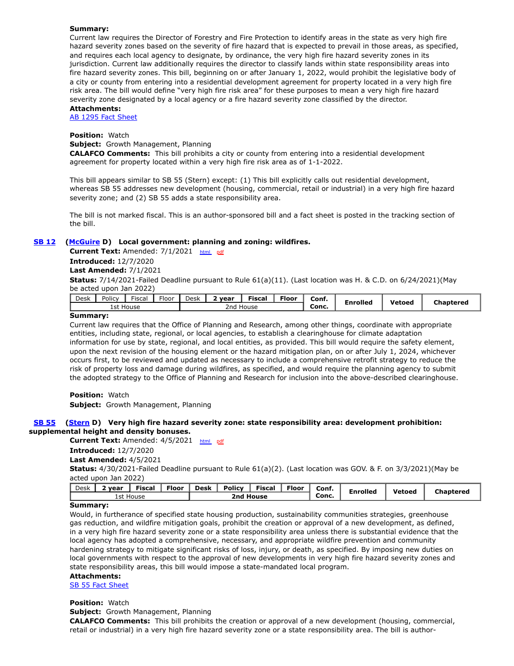# **Summary:**

Current law requires the Director of Forestry and Fire Protection to identify areas in the state as very high fire hazard severity zones based on the severity of fire hazard that is expected to prevail in those areas, as specified, and requires each local agency to designate, by ordinance, the very high fire hazard severity zones in its jurisdiction. Current law additionally requires the director to classify lands within state responsibility areas into fire hazard severity zones. This bill, beginning on or after January 1, 2022, would prohibit the legislative body of a city or county from entering into a residential development agreement for property located in a very high fire risk area. The bill would define "very high fire risk area" for these purposes to mean a very high fire hazard severity zone designated by a local agency or a fire hazard severity zone classified by the director.

# **Attachments:**

[AB 1295 Fact Sheet](https://ctweb.capitoltrack.com/public/publishviewdoc.ashx?di=JvsP26GdAnKLjwCn8rjS0j6XYejjVulza0Al0Si0Fvs%3d)

# **Position:** Watch

**Subject:** Growth Management, Planning

**CALAFCO Comments:** This bill prohibits a city or county from entering into a residential development agreement for property located within a very high fire risk area as of 1-1-2022.

This bill appears similar to SB 55 (Stern) except: (1) This bill explicitly calls out residential development, whereas SB 55 addresses new development (housing, commercial, retail or industrial) in a very high fire hazard severity zone; and (2) SB 55 adds a state responsibility area.

The bill is not marked fiscal. This is an author-sponsored bill and a fact sheet is posted in the tracking section of the bill.

# **[SB 12](https://ctweb.capitoltrack.com/public/publishbillinfo.aspx?bi=vA8xbCDUfrJxuqP0bRuGbis9rdTCsjGCVb82BRlzdt2EtpWC5AslNguoKOdjlFtO) [\(McGuire](http://sd02.senate.ca.gov/) D) Local government: planning and zoning: wildfires.**

**Current Text:** Amended: 7/1/2021 [html](https://ctweb.capitoltrack.com/Bills/21Bills/sen/sb_0001-0050/sb_12_97_A_bill.htm) [pdf](https://ctweb.capitoltrack.com/Bills/21Bills/sen/sb_0001-0050/sb_12_97_A_bill.pdf) **Introduced:** 12/7/2020

**Last Amended:** 7/1/2021

**Status:** 7/14/2021-Failed Deadline pursuant to Rule 61(a)(11). (Last location was H. & C.D. on 6/24/2021)(May be acted upon Jan 2022)

|                                    | Desk | Policy | <b>Fiscal</b> | $-1$<br>Floor | Desk | vear | --<br>Fiscal | Floor | Conf. | Enrolled | Vetoed | Chaptered |
|------------------------------------|------|--------|---------------|---------------|------|------|--------------|-------|-------|----------|--------|-----------|
| Conc.<br>1st House<br>2nd<br>House |      |        |               |               |      |      |              |       |       |          |        |           |

### **Summary:**

Current law requires that the Office of Planning and Research, among other things, coordinate with appropriate entities, including state, regional, or local agencies, to establish a clearinghouse for climate adaptation information for use by state, regional, and local entities, as provided. This bill would require the safety element, upon the next revision of the housing element or the hazard mitigation plan, on or after July 1, 2024, whichever occurs first, to be reviewed and updated as necessary to include a comprehensive retrofit strategy to reduce the risk of property loss and damage during wildfires, as specified, and would require the planning agency to submit the adopted strategy to the Office of Planning and Research for inclusion into the above-described clearinghouse.

**Position:** Watch **Subject:** Growth Management, Planning

# **[SB 55](https://ctweb.capitoltrack.com/public/publishbillinfo.aspx?bi=9C08dqurHiktyu2sUB%2foS%2bVYYwu0va0p2EBYKaF%2f7cIdmEIP1H52Mm0KKYg1G9aN) [\(Stern](http://sd27.senate.ca.gov/) D) Very high fire hazard severity zone: state responsibility area: development prohibition: supplemental height and density bonuses.**

**Current Text:** Amended: 4/5/2021 [html](https://ctweb.capitoltrack.com/Bills/21Bills/sen/sb_0051-0100/sb_55_98_A_bill.htm) [pdf](https://ctweb.capitoltrack.com/Bills/21Bills/sen/sb_0051-0100/sb_55_98_A_bill.pdf) **Introduced:** 12/7/2020 **Last Amended:** 4/5/2021 **Status:** 4/30/2021-Failed Deadline pursuant to Rule 61(a)(2). (Last location was GOV. & F. on 3/3/2021)(May be acted upon Jan 2022)

| <b>Fiscal</b><br><b>Floor</b><br>vear | Policy<br>Desk<br>Floor<br><b>Fiscal</b> | Conf.<br><b>Enrolled</b> | <b>Vetoed</b> | ∵haptered |
|---------------------------------------|------------------------------------------|--------------------------|---------------|-----------|
| 1st House                             | 2nd House                                | Conc.                    |               |           |

# **Summary:**

Would, in furtherance of specified state housing production, sustainability communities strategies, greenhouse gas reduction, and wildfire mitigation goals, prohibit the creation or approval of a new development, as defined, in a very high fire hazard severity zone or a state responsibility area unless there is substantial evidence that the local agency has adopted a comprehensive, necessary, and appropriate wildfire prevention and community hardening strategy to mitigate significant risks of loss, injury, or death, as specified. By imposing new duties on local governments with respect to the approval of new developments in very high fire hazard severity zones and state responsibility areas, this bill would impose a state-mandated local program.

# **Attachments:**

[SB 55 Fact Sheet](https://ctweb.capitoltrack.com/public/publishviewdoc.ashx?di=v0USgZTz5Fn092PrDNnmC%2fPDgV9nCJK9gbpZpNlmjyM%3d)

#### **Position:** Watch

**Subject:** Growth Management, Planning

**CALAFCO Comments:** This bill prohibits the creation or approval of a new development (housing, commercial, retail or industrial) in a very high fire hazard severity zone or a state responsibility area. The bill is author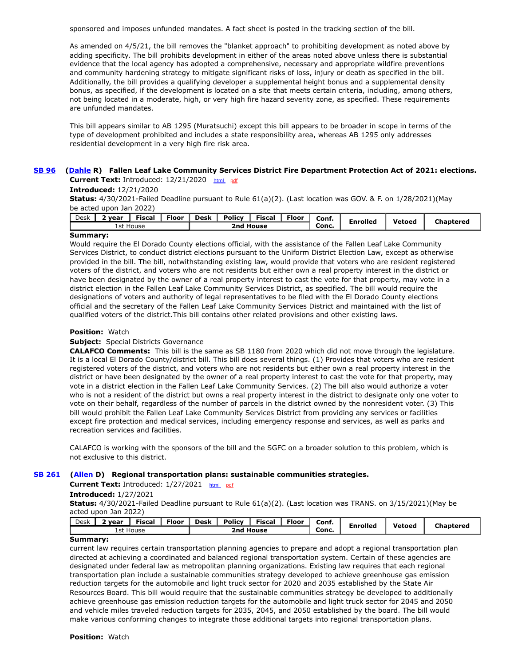sponsored and imposes unfunded mandates. A fact sheet is posted in the tracking section of the bill.

As amended on 4/5/21, the bill removes the "blanket approach" to prohibiting development as noted above by adding specificity. The bill prohibits development in either of the areas noted above unless there is substantial evidence that the local agency has adopted a comprehensive, necessary and appropriate wildfire preventions and community hardening strategy to mitigate significant risks of loss, injury or death as specified in the bill. Additionally, the bill provides a qualifying developer a supplemental height bonus and a supplemental density bonus, as specified, if the development is located on a site that meets certain criteria, including, among others, not being located in a moderate, high, or very high fire hazard severity zone, as specified. These requirements are unfunded mandates.

This bill appears similar to AB 1295 (Muratsuchi) except this bill appears to be broader in scope in terms of the type of development prohibited and includes a state responsibility area, whereas AB 1295 only addresses residential development in a very high fire risk area.

# **[SB 96](https://ctweb.capitoltrack.com/public/publishbillinfo.aspx?bi=m64ecszPpZOESc%2fECWdGCavlNzbWJoA8qzikQJMmCKFzZoTnHR0RZ1qozmifE5gP) [\(Dahle](https://dahle.cssrc.us/) R) Fallen Leaf Lake Community Services District Fire Department Protection Act of 2021: elections. Current Text:** Introduced: 12/21/2020 [html](https://ctweb.capitoltrack.com/Bills/21Bills/sen/sb_0051-0100/sb_96_99_I_bill.htm) [pdf](https://ctweb.capitoltrack.com/Bills/21Bills/sen/sb_0051-0100/sb_96_99_I_bill.pdf)

# **Introduced:** 12/21/2020

**Status:** 4/30/2021-Failed Deadline pursuant to Rule 61(a)(2). (Last location was GOV. & F. on 1/28/2021)(May be acted upon Jan 2022)

| Desk | vear      | Fiscal | Floor | <b>Desk</b> | <b>Policy</b>       | --<br>Fiscal | Floor | Conf  | Enrollec <sup>'</sup> | Vetoed | haptered: |
|------|-----------|--------|-------|-------------|---------------------|--------------|-------|-------|-----------------------|--------|-----------|
|      | 1st House |        |       |             | <b>House</b><br>2nd |              |       | Conc. |                       |        |           |

# **Summary:**

Would require the El Dorado County elections official, with the assistance of the Fallen Leaf Lake Community Services District, to conduct district elections pursuant to the Uniform District Election Law, except as otherwise provided in the bill. The bill, notwithstanding existing law, would provide that voters who are resident registered voters of the district, and voters who are not residents but either own a real property interest in the district or have been designated by the owner of a real property interest to cast the vote for that property, may vote in a district election in the Fallen Leaf Lake Community Services District, as specified. The bill would require the designations of voters and authority of legal representatives to be filed with the El Dorado County elections official and the secretary of the Fallen Leaf Lake Community Services District and maintained with the list of qualified voters of the district.This bill contains other related provisions and other existing laws.

# **Position:** Watch

# **Subject:** Special Districts Governance

**CALAFCO Comments:** This bill is the same as SB 1180 from 2020 which did not move through the legislature. It is a local El Dorado County/district bill. This bill does several things. (1) Provides that voters who are resident registered voters of the district, and voters who are not residents but either own a real property interest in the district or have been designated by the owner of a real property interest to cast the vote for that property, may vote in a district election in the Fallen Leaf Lake Community Services. (2) The bill also would authorize a voter who is not a resident of the district but owns a real property interest in the district to designate only one voter to vote on their behalf, regardless of the number of parcels in the district owned by the nonresident voter. (3) This bill would prohibit the Fallen Leaf Lake Community Services District from providing any services or facilities except fire protection and medical services, including emergency response and services, as well as parks and recreation services and facilities.

CALAFCO is working with the sponsors of the bill and the SGFC on a broader solution to this problem, which is not exclusive to this district.

# **[SB 261](https://ctweb.capitoltrack.com/public/publishbillinfo.aspx?bi=8Ocds6CdVdQVxMCc1U0q3%2bd%2bOI8Um8x1ptDdIIxy8I5Ubp55Qv8pkwnOvFXonbPa) ([Allen](http://sd26.senate.ca.gov/) D) Regional transportation plans: sustainable communities strategies.**

**Current Text:** Introduced: 1/27/2021 [html](https://ctweb.capitoltrack.com/Bills/21Bills/sen/sb_0251-0300/sb_261_99_I_bill.htm) [pdf](https://ctweb.capitoltrack.com/Bills/21Bills/sen/sb_0251-0300/sb_261_99_I_bill.pdf)

# **Introduced:** 1/27/2021

**Status:** 4/30/2021-Failed Deadline pursuant to Rule 61(a)(2). (Last location was TRANS. on 3/15/2021)(May be acted upon Jan 2022)

| Desk | vear      |  | Fiscal | <b>Floor</b> | <b>Desk</b> | Policy    | Fiscal | <b>Floor</b> | Conf. | <b>Enrolled</b> | Vetoea | Chaptered |
|------|-----------|--|--------|--------------|-------------|-----------|--------|--------------|-------|-----------------|--------|-----------|
|      | 1st House |  |        |              |             | 2nd House |        |              |       |                 |        |           |

# **Summary:**

current law requires certain transportation planning agencies to prepare and adopt a regional transportation plan directed at achieving a coordinated and balanced regional transportation system. Certain of these agencies are designated under federal law as metropolitan planning organizations. Existing law requires that each regional transportation plan include a sustainable communities strategy developed to achieve greenhouse gas emission reduction targets for the automobile and light truck sector for 2020 and 2035 established by the State Air Resources Board. This bill would require that the sustainable communities strategy be developed to additionally achieve greenhouse gas emission reduction targets for the automobile and light truck sector for 2045 and 2050 and vehicle miles traveled reduction targets for 2035, 2045, and 2050 established by the board. The bill would make various conforming changes to integrate those additional targets into regional transportation plans.